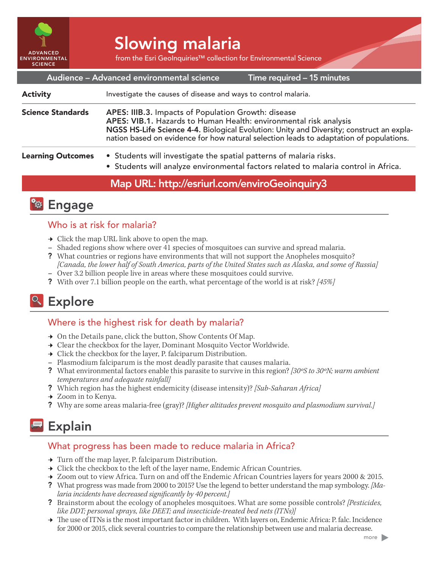

# Slowing malaria

from the Esri GeoInquiries™ collection for Environmental Science

Time required – 15 minutes Audience – Advanced environmental science Investigate the causes of disease and ways to control malaria. APES: IIIB.3. Impacts of Population Growth: disease APES: VIB.1. Hazards to Human Health: environmental risk analysis NGSS HS-Life Science 4-4. Biological Evolution: Unity and Diversity; construct an explanation based on evidence for how natural selection leads to adaptation of populations. • Students will investigate the spatial patterns of malaria risks. • Students will analyze environmental factors related to malaria control in Africa. Science Standards Learning Outcomes Activity

## Map URL: http://esriurl.com/enviroGeoinquiry3



## Who is at risk for malaria?

- $\rightarrow$  Click the map URL link above to open the map.
- **–** Shaded regions show where over 41 species of mosquitoes can survive and spread malaria.
- ? What countries or regions have environments that will not support the Anopheles mosquito? *[Canada, the lower half of South America, parts of the United States such as Alaska, and some of Russia]*
- **–** Over 3.2 billion people live in areas where these mosquitoes could survive.
- ? With over 7.1 billion people on the earth, what percentage of the world is at risk? *[45%]*

# <sup>o</sup> Explore

## Where is the highest risk for death by malaria?

- $\rightarrow$  On the Details pane, click the button, Show Contents Of Map.
- → Clear the checkbox for the layer, Dominant Mosquito Vector Worldwide.
- $\rightarrow$  Click the checkbox for the layer, P. falciparum Distribution.
- **–** Plasmodium falciparum is the most deadly parasite that causes malaria.
- ? What environmental factors enable this parasite to survive in this region? [30°S to 30°N; warm ambient *temperatures and adequate rainfall]*
- ? Which region has the highest endemicity (disease intensity)? *[Sub-Saharan Africa]*
- → Zoom in to Kenya.
- ? Why are some areas malaria-free (gray)? *[Higher altitudes prevent mosquito and plasmodium survival.]*

## Explain

#### What progress has been made to reduce malaria in Africa?

- → Turn off the map layer, P. falciparum Distribution.
- $\rightarrow$  Click the checkbox to the left of the layer name, Endemic African Countries.
- ʅ Zoom out to view Africa. Turn on and off the Endemic African Countries layers for years 2000 & 2015.
- ? What progress was made from 2000 to 2015? Use the legend to better understand the map symbology. *[Malaria incidents have decreased significantly by 40 percent.]*
- ? Brainstorm about the ecology of anopheles mosquitoes. What are some possible controls? *[Pesticides, like DDT; personal sprays, like DEET; and insecticide-treated bed nets (ITNs)]*
- → The use of ITNs is the most important factor in children. With layers on, Endemic Africa: P. falc. Incidence for 2000 or 2015, click several countries to compare the relationship between use and malaria decrease.